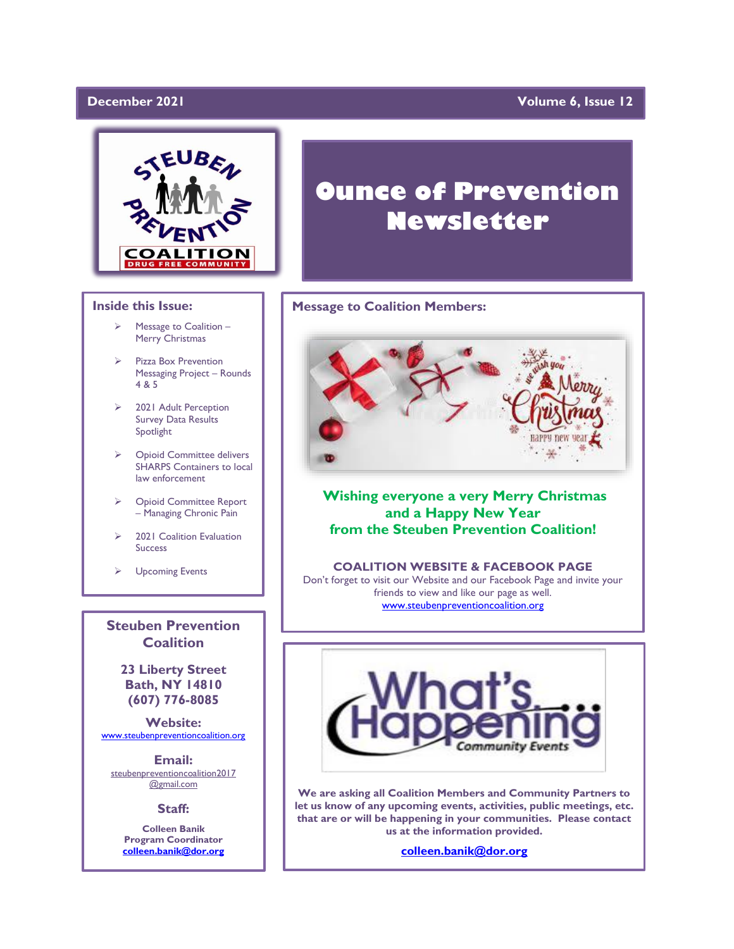## December 2021

## **Volume 6, Issue 12**



## **Inside this Issue:**

- ➢ Message to Coalition Merry Christmas
- Pizza Box Prevention Messaging Project – Rounds 4 & 5
- ➢ 2021 Adult Perception Survey Data Results Spotlight
- ➢ Opioid Committee delivers SHARPS Containers to local law enforcement
- ➢ Opioid Committee Report – Managing Chronic Pain
- ➢ 2021 Coalition Evaluation Success
- ➢ Upcoming Events

**Steuben Prevention Coalition**

**23 Liberty Street Bath, NY 14810 (607) 776-8085**

**Website:**  [www.steubenpreventioncoalition.org](http://www.steubenpreventioncoalition.org/)

**Email:**  steubenpreventioncoalition2017 @gmail.com

**Staff:**

**Colleen Banik Program Coordinator [colleen.banik@dor.org](mailto:colleen.banik@dor.org)**

# **Ounce of Prevention Newsletter**

## **Message to Coalition Members:**



**Wishing everyone a very Merry Christmas and a Happy New Year from the Steuben Prevention Coalition!**

## **COALITION WEBSITE & FACEBOOK PAGE**

Don't forget to visit our Website and our Facebook Page and invite your friends to view and like our page as well. [www.steubenpreventioncoalition.org](http://www.steubenpreventioncoalition.org/)



**We are asking all Coalition Members and Community Partners to let us know of any upcoming events, activities, public meetings, etc. that are or will be happening in your communities. Please contact us at the information provided.**

**[colleen.banik@dor.org](mailto:colleen.banik@dor.org)**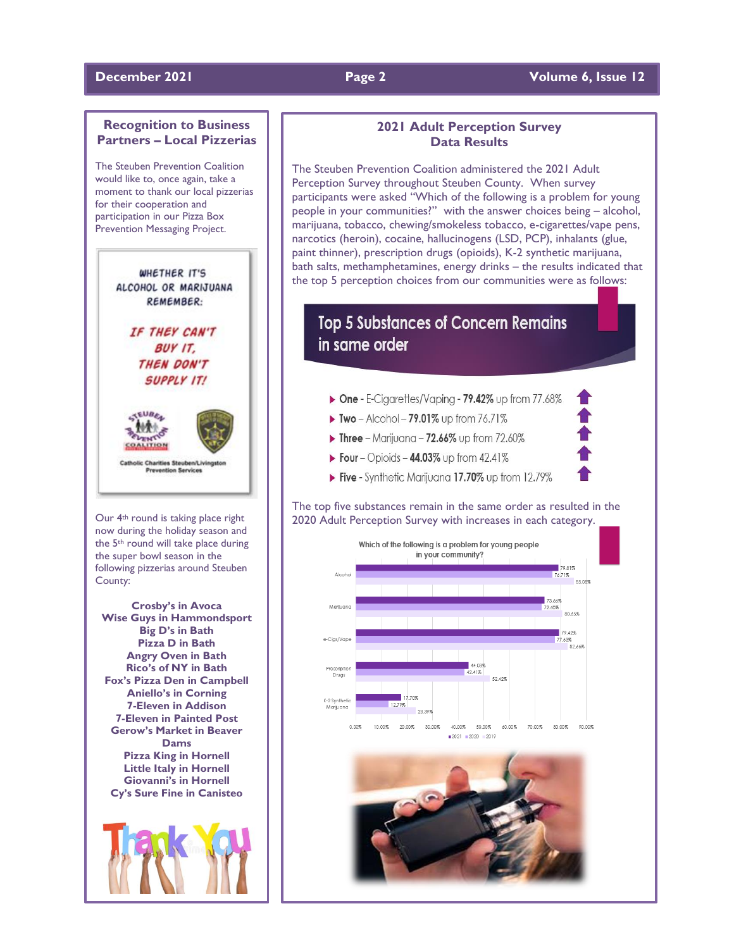## **December 2021 Page 2 Volume 6, Issue 12**

## **Recognition to Business Partners – Local Pizzerias**

The Steuben Prevention Coalition would like to, once again, take a moment to thank our local pizzerias for their cooperation and participation in our Pizza Box Prevention Messaging Project.





**Catholic Charities Steuben/Livingston Prevention Services** 

Our 4th round is taking place right now during the holiday season and the 5th round will take place during the super bowl season in the following pizzerias around Steuben County:

**Crosby's in Avoca Wise Guys in Hammondsport Big D's in Bath Pizza D in Bath Angry Oven in Bath Rico's of NY in Bath Fox's Pizza Den in Campbell Aniello's in Corning 7-Eleven in Addison 7-Eleven in Painted Post Gerow's Market in Beaver Dams Pizza King in Hornell Little Italy in Hornell Giovanni's in Hornell Cy's Sure Fine in Canisteo**



## **2021 Adult Perception Survey Data Results**

The Steuben Prevention Coalition administered the 2021 Adult Perception Survey throughout Steuben County. When survey participants were asked "Which of the following is a problem for young people in your communities?" with the answer choices being – alcohol, marijuana, tobacco, chewing/smokeless tobacco, e-cigarettes/vape pens, narcotics (heroin), cocaine, hallucinogens (LSD, PCP), inhalants (glue, paint thinner), prescription drugs (opioids), K-2 synthetic marijuana, bath salts, methamphetamines, energy drinks – the results indicated that the top 5 perception choices from our communities were as follows:

## **Top 5 Substances of Concern Remains** in same order

- ▶ One E-Cigarettes/Vaping 79.42% up from 77.68%
- **Two** Alcohol **79.01%** up from  $76.71\%$
- $\triangleright$  Three Marijuana 72.66% up from 72.60%
- Four Opioids 44.03% up from  $42.41\%$
- Five Synthetic Marijuana 17.70% up from 12.79%

## The top five substances remain in the same order as resulted in the 2020 Adult Perception Survey with increases in each category.

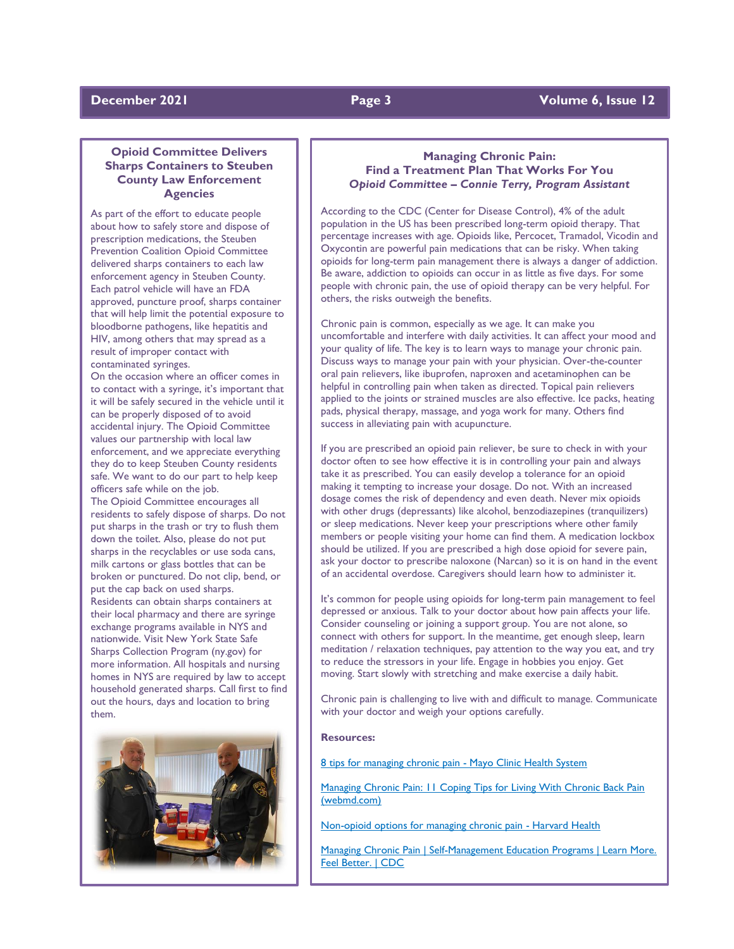## **Opioid Committee Delivers Sharps Containers to Steuben County Law Enforcement Agencies**

As part of the effort to educate people about how to safely store and dispose of prescription medications, the Steuben Prevention Coalition Opioid Committee delivered sharps containers to each law enforcement agency in Steuben County. Each patrol vehicle will have an FDA approved, puncture proof, sharps container that will help limit the potential exposure to bloodborne pathogens, like hepatitis and HIV, among others that may spread as a result of improper contact with contaminated syringes.

On the occasion where an officer comes in to contact with a syringe, it's important that it will be safely secured in the vehicle until it can be properly disposed of to avoid accidental injury. The Opioid Committee values our partnership with local law enforcement, and we appreciate everything they do to keep Steuben County residents safe. We want to do our part to help keep officers safe while on the job.

The Opioid Committee encourages all residents to safely dispose of sharps. Do not put sharps in the trash or try to flush them down the toilet. Also, please do not put sharps in the recyclables or use soda cans, milk cartons or glass bottles that can be broken or punctured. Do not clip, bend, or put the cap back on used sharps. Residents can obtain sharps containers at their local pharmacy and there are syringe exchange programs available in NYS and nationwide. Visit New York State Safe Sharps Collection Program (ny.gov) for more information. All hospitals and nursing homes in NYS are required by law to accept household generated sharps. Call first to find out the hours, days and location to bring



them.

## **Managing Chronic Pain: Find a Treatment Plan That Works For You** *Opioid Committee – Connie Terry, Program Assistant*

According to the CDC (Center for Disease Control), 4% of the adult population in the US has been prescribed long-term opioid therapy. That percentage increases with age. Opioids like, Percocet, Tramadol, Vicodin and Oxycontin are powerful pain medications that can be risky. When taking opioids for long-term pain management there is always a danger of addiction. Be aware, addiction to opioids can occur in as little as five days. For some people with chronic pain, the use of opioid therapy can be very helpful. For others, the risks outweigh the benefits.

Chronic pain is common, especially as we age. It can make you uncomfortable and interfere with daily activities. It can affect your mood and your quality of life. The key is to learn ways to manage your chronic pain. Discuss ways to manage your pain with your physician. Over-the-counter oral pain relievers, like ibuprofen, naproxen and acetaminophen can be helpful in controlling pain when taken as directed. Topical pain relievers applied to the joints or strained muscles are also effective. Ice packs, heating pads, physical therapy, massage, and yoga work for many. Others find success in alleviating pain with acupuncture.

If you are prescribed an opioid pain reliever, be sure to check in with your doctor often to see how effective it is in controlling your pain and always take it as prescribed. You can easily develop a tolerance for an opioid making it tempting to increase your dosage. Do not. With an increased dosage comes the risk of dependency and even death. Never mix opioids with other drugs (depressants) like alcohol, benzodiazepines (tranquilizers) or sleep medications. Never keep your prescriptions where other family members or people visiting your home can find them. A medication lockbox should be utilized. If you are prescribed a high dose opioid for severe pain, ask your doctor to prescribe naloxone (Narcan) so it is on hand in the event of an accidental overdose. Caregivers should learn how to administer it.

It's common for people using opioids for long-term pain management to feel depressed or anxious. Talk to your doctor about how pain affects your life. Consider counseling or joining a support group. You are not alone, so connect with others for support. In the meantime, get enough sleep, learn meditation / relaxation techniques, pay attention to the way you eat, and try to reduce the stressors in your life. Engage in hobbies you enjoy. Get moving. Start slowly with stretching and make exercise a daily habit.

Chronic pain is challenging to live with and difficult to manage. Communicate with your doctor and weigh your options carefully.

### **Resources:**

8 tips for managing chronic pain - Mayo Clinic Health System

Managing Chronic Pain: 11 Coping Tips for Living With Chronic Back Pain (webmd.com)

Non-opioid options for managing chronic pain - Harvard Health

Managing Chronic Pain | Self-Management Education Programs | Learn More. Feel Better. | CDC